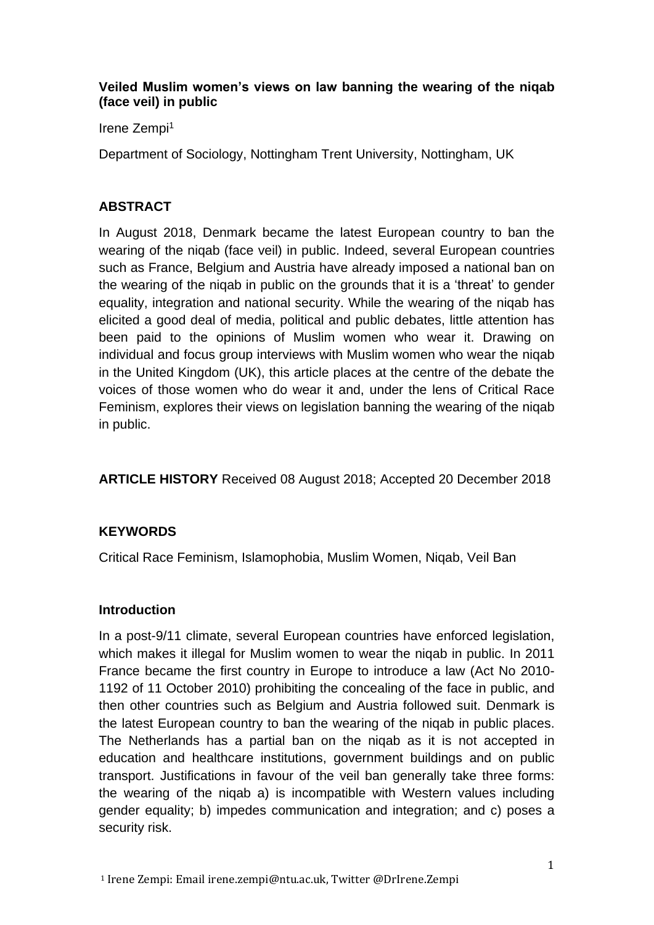### **Veiled Muslim women's views on law banning the wearing of the niqab (face veil) in public**

Irene Zempi<sup>1</sup>

Department of Sociology, Nottingham Trent University, Nottingham, UK

# **ABSTRACT**

In August 2018, Denmark became the latest European country to ban the wearing of the niqab (face veil) in public. Indeed, several European countries such as France, Belgium and Austria have already imposed a national ban on the wearing of the niqab in public on the grounds that it is a 'threat' to gender equality, integration and national security. While the wearing of the niqab has elicited a good deal of media, political and public debates, little attention has been paid to the opinions of Muslim women who wear it. Drawing on individual and focus group interviews with Muslim women who wear the niqab in the United Kingdom (UK), this article places at the centre of the debate the voices of those women who do wear it and, under the lens of Critical Race Feminism, explores their views on legislation banning the wearing of the niqab in public.

**ARTICLE HISTORY** Received 08 August 2018; Accepted 20 December 2018

# **KEYWORDS**

Critical Race Feminism, Islamophobia, Muslim Women, Niqab, Veil Ban

# **Introduction**

In a post-9/11 climate, several European countries have enforced legislation, which makes it illegal for Muslim women to wear the niqab in public. In 2011 France became the first country in Europe to introduce a law (Act No 2010- 1192 of 11 October 2010) prohibiting the concealing of the face in public, and then other countries such as Belgium and Austria followed suit. Denmark is the latest European country to ban the wearing of the niqab in public places. The Netherlands has a partial ban on the niqab as it is not accepted in education and healthcare institutions, government buildings and on public transport. Justifications in favour of the veil ban generally take three forms: the wearing of the niqab a) is incompatible with Western values including gender equality; b) impedes communication and integration; and c) poses a security risk.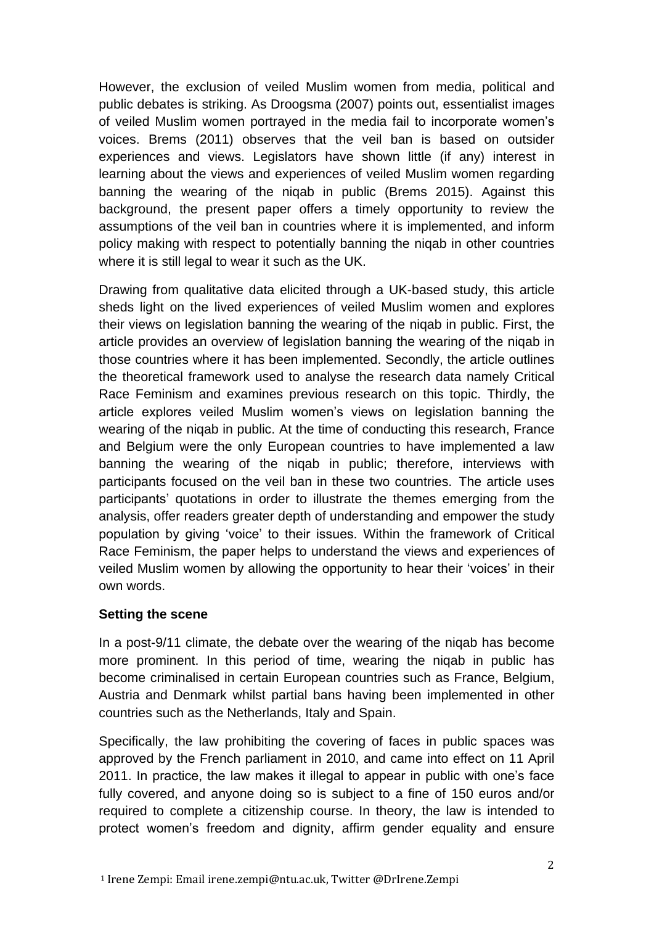However, the exclusion of veiled Muslim women from media, political and public debates is striking. As Droogsma (2007) points out, essentialist images of veiled Muslim women portrayed in the media fail to incorporate women's voices. Brems (2011) observes that the veil ban is based on outsider experiences and views. Legislators have shown little (if any) interest in learning about the views and experiences of veiled Muslim women regarding banning the wearing of the niqab in public (Brems 2015). Against this background, the present paper offers a timely opportunity to review the assumptions of the veil ban in countries where it is implemented, and inform policy making with respect to potentially banning the niqab in other countries where it is still legal to wear it such as the UK.

Drawing from qualitative data elicited through a UK-based study, this article sheds light on the lived experiences of veiled Muslim women and explores their views on legislation banning the wearing of the niqab in public. First, the article provides an overview of legislation banning the wearing of the niqab in those countries where it has been implemented. Secondly, the article outlines the theoretical framework used to analyse the research data namely Critical Race Feminism and examines previous research on this topic. Thirdly, the article explores veiled Muslim women's views on legislation banning the wearing of the niqab in public. At the time of conducting this research, France and Belgium were the only European countries to have implemented a law banning the wearing of the niqab in public; therefore, interviews with participants focused on the veil ban in these two countries. The article uses participants' quotations in order to illustrate the themes emerging from the analysis, offer readers greater depth of understanding and empower the study population by giving 'voice' to their issues. Within the framework of Critical Race Feminism, the paper helps to understand the views and experiences of veiled Muslim women by allowing the opportunity to hear their 'voices' in their own words.

# **Setting the scene**

In a post-9/11 climate, the debate over the wearing of the niqab has become more prominent. In this period of time, wearing the niqab in public has become criminalised in certain European countries such as France, Belgium, Austria and Denmark whilst partial bans having been implemented in other countries such as the Netherlands, Italy and Spain.

Specifically, the law prohibiting the covering of faces in public spaces was approved by the French parliament in 2010, and came into effect on 11 April 2011. In practice, the law makes it illegal to appear in public with one's face fully covered, and anyone doing so is subject to a fine of 150 euros and/or required to complete a citizenship course. In theory, the law is intended to protect women's freedom and dignity, affirm gender equality and ensure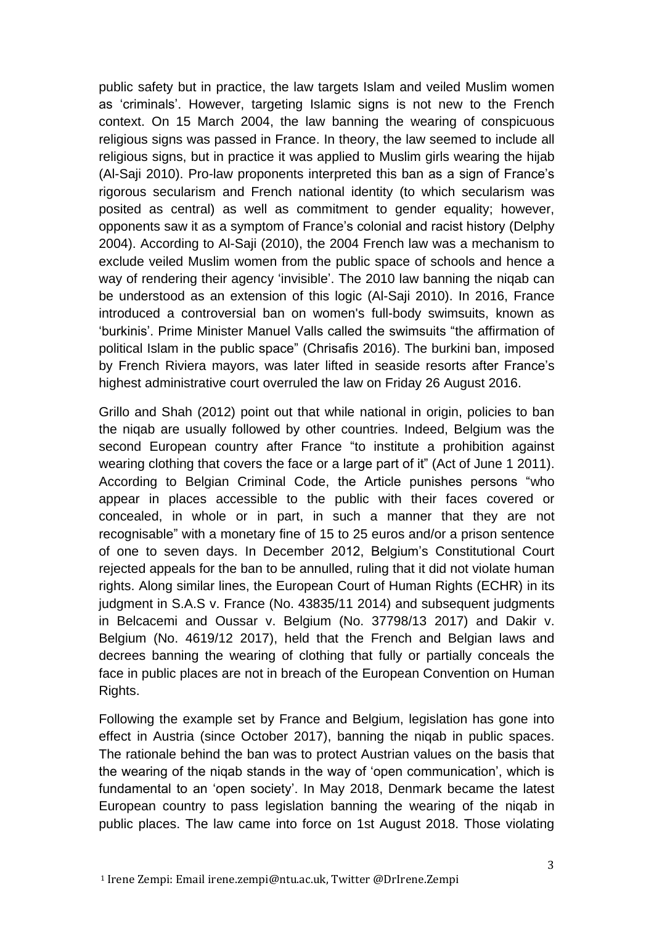public safety but in practice, the law targets Islam and veiled Muslim women as 'criminals'. However, targeting Islamic signs is not new to the French context. On 15 March 2004, the law banning the wearing of conspicuous religious signs was passed in France. In theory, the law seemed to include all religious signs, but in practice it was applied to Muslim girls wearing the hijab (Al-Saji 2010). Pro-law proponents interpreted this ban as a sign of France's rigorous secularism and French national identity (to which secularism was posited as central) as well as commitment to gender equality; however, opponents saw it as a symptom of France's colonial and racist history (Delphy 2004). According to Al-Saji (2010), the 2004 French law was a mechanism to exclude veiled Muslim women from the public space of schools and hence a way of rendering their agency 'invisible'. The 2010 law banning the niqab can be understood as an extension of this logic (Al-Saji 2010). In 2016, France introduced a controversial ban on women's full-body swimsuits, known as 'burkinis'. Prime Minister Manuel Valls called the swimsuits "the affirmation of political Islam in the public space" (Chrisafis 2016). The burkini ban, imposed by French Riviera mayors, was later lifted in seaside resorts after France's highest administrative court overruled the law on Friday 26 August 2016.

Grillo and Shah (2012) point out that while national in origin, policies to ban the niqab are usually followed by other countries. Indeed, Belgium was the second European country after France "to institute a prohibition against wearing clothing that covers the face or a large part of it" (Act of June 1 2011). According to Belgian Criminal Code, the Article punishes persons "who appear in places accessible to the public with their faces covered or concealed, in whole or in part, in such a manner that they are not recognisable" with a monetary fine of 15 to 25 euros and/or a prison sentence of one to seven days. In December 2012, Belgium's Constitutional Court rejected appeals for the ban to be annulled, ruling that it did not violate human rights. Along similar lines, the European Court of Human Rights (ECHR) in its judgment in S.A.S v. France (No. 43835/11 2014) and subsequent judgments in Belcacemi and Oussar v. Belgium (No. 37798/13 2017) and Dakir v. Belgium (No. 4619/12 2017), held that the French and Belgian laws and decrees banning the wearing of clothing that fully or partially conceals the face in public places are not in breach of the European Convention on Human Rights.

Following the example set by France and Belgium, legislation has gone into effect in Austria (since October 2017), banning the niqab in public spaces. The rationale behind the ban was to protect Austrian values on the basis that the wearing of the niqab stands in the way of 'open communication', which is fundamental to an 'open society'. In May 2018, Denmark became the latest European country to pass legislation banning the wearing of the niqab in public places. The law came into force on 1st August 2018. Those violating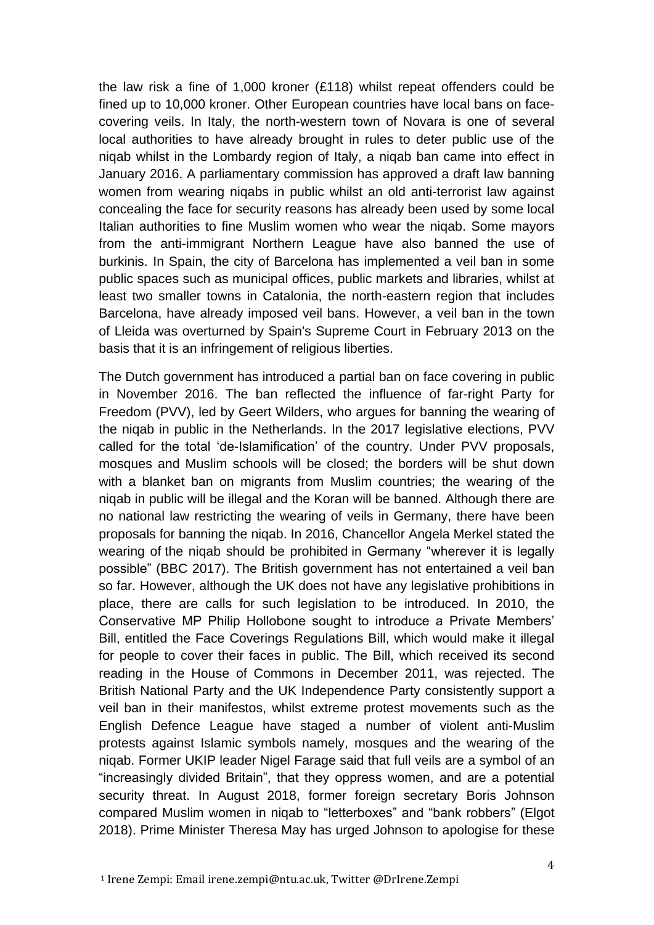the law risk a fine of 1,000 kroner (£118) whilst repeat offenders could be fined up to 10,000 kroner. Other European countries have local bans on facecovering veils. In Italy, the north-western town of Novara is one of several local authorities to have already brought in rules to deter public use of the niqab whilst in the Lombardy region of Italy, a niqab ban came into effect in January 2016. A parliamentary commission has approved a draft law banning women from wearing niqabs in public whilst an old anti-terrorist law against concealing the face for security reasons has already been used by some local Italian authorities to fine Muslim women who wear the niqab. Some mayors from the anti-immigrant Northern League have also banned the use of burkinis. In Spain, the city of Barcelona has implemented a veil ban in some public spaces such as municipal offices, public markets and libraries, whilst at least two smaller towns in Catalonia, the north-eastern region that includes Barcelona, have already imposed veil bans. However, a veil ban in the town of Lleida was overturned by Spain's Supreme Court in February 2013 on the basis that it is an infringement of religious liberties.

The Dutch government has introduced a partial ban on face covering in public in November 2016. The ban reflected the influence of far-right Party for Freedom (PVV), led by Geert Wilders, who argues for banning the wearing of the niqab in public in the Netherlands. In the 2017 legislative elections, PVV called for the total 'de-Islamification' of the country. Under PVV proposals, mosques and Muslim schools will be closed; the borders will be shut down with a blanket ban on migrants from Muslim countries; the wearing of the niqab in public will be illegal and the Koran will be banned. Although there are no national law restricting the wearing of veils in Germany, there have been proposals for banning the niqab. In 2016, Chancellor Angela Merkel stated the wearing of the [niqab should be prohibited](http://www.bbc.co.uk/news/world-europe-38226081) in Germany "wherever it is legally possible" (BBC 2017). The British government has not entertained a veil ban so far. However, although the UK does not have any legislative prohibitions in place, there are calls for such legislation to be introduced. In 2010, the Conservative MP Philip Hollobone sought to introduce a Private Members' Bill, entitled the Face Coverings Regulations Bill, which would make it illegal for people to cover their faces in public. The Bill, which received its second reading in the House of Commons in December 2011, was rejected. The British National Party and the UK Independence Party consistently support a veil ban in their manifestos, whilst extreme protest movements such as the English Defence League have staged a number of violent anti-Muslim protests against Islamic symbols namely, mosques and the wearing of the niqab. Former UKIP leader Nigel Farage said that full veils are a symbol of an "increasingly divided Britain", that they oppress women, and are a potential security threat. In August 2018, former foreign secretary Boris Johnson compared Muslim women in niqab to "letterboxes" and "bank robbers" (Elgot 2018). Prime Minister Theresa May has urged Johnson to apologise for these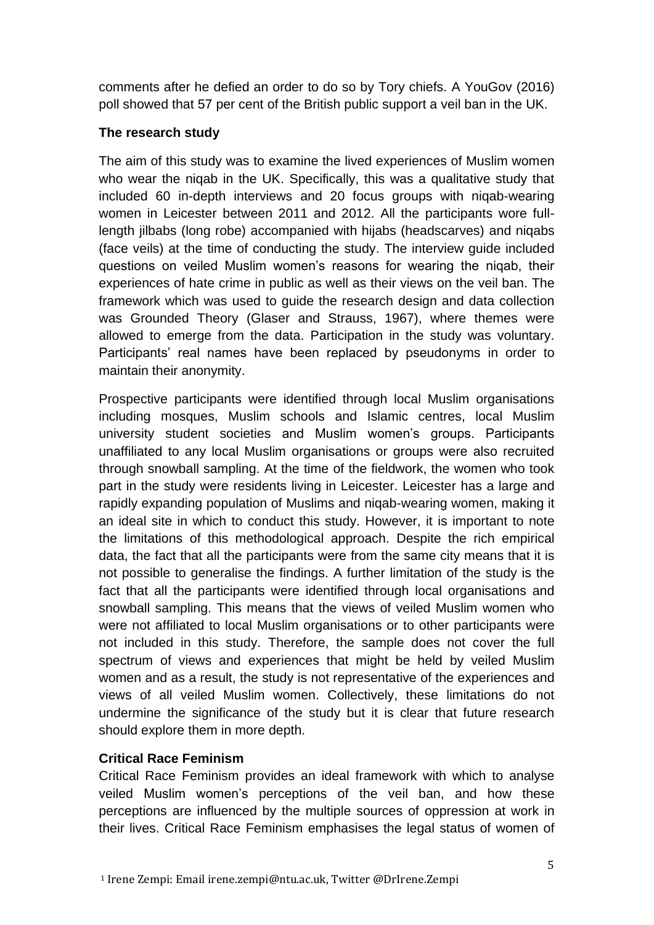comments after he defied an order to do so by Tory chiefs. A YouGov (2016) poll showed that 57 per cent of the British public support a veil ban in the UK.

### **The research study**

The aim of this study was to examine the lived experiences of Muslim women who wear the nigab in the UK. Specifically, this was a qualitative study that included 60 in-depth interviews and 20 focus groups with niqab-wearing women in Leicester between 2011 and 2012. All the participants wore fulllength jilbabs (long robe) accompanied with hijabs (headscarves) and niqabs (face veils) at the time of conducting the study. The interview guide included questions on veiled Muslim women's reasons for wearing the niqab, their experiences of hate crime in public as well as their views on the veil ban. The framework which was used to guide the research design and data collection was Grounded Theory (Glaser and Strauss, 1967), where themes were allowed to emerge from the data. Participation in the study was voluntary. Participants' real names have been replaced by pseudonyms in order to maintain their anonymity.

Prospective participants were identified through local Muslim organisations including mosques, Muslim schools and Islamic centres, local Muslim university student societies and Muslim women's groups. Participants unaffiliated to any local Muslim organisations or groups were also recruited through snowball sampling. At the time of the fieldwork, the women who took part in the study were residents living in Leicester. Leicester has a large and rapidly expanding population of Muslims and niqab-wearing women, making it an ideal site in which to conduct this study. However, it is important to note the limitations of this methodological approach. Despite the rich empirical data, the fact that all the participants were from the same city means that it is not possible to generalise the findings. A further limitation of the study is the fact that all the participants were identified through local organisations and snowball sampling. This means that the views of veiled Muslim women who were not affiliated to local Muslim organisations or to other participants were not included in this study. Therefore, the sample does not cover the full spectrum of views and experiences that might be held by veiled Muslim women and as a result, the study is not representative of the experiences and views of all veiled Muslim women. Collectively, these limitations do not undermine the significance of the study but it is clear that future research should explore them in more depth.

# **Critical Race Feminism**

Critical Race Feminism provides an ideal framework with which to analyse veiled Muslim women's perceptions of the veil ban, and how these perceptions are influenced by the multiple sources of oppression at work in their lives. Critical Race Feminism emphasises the legal status of women of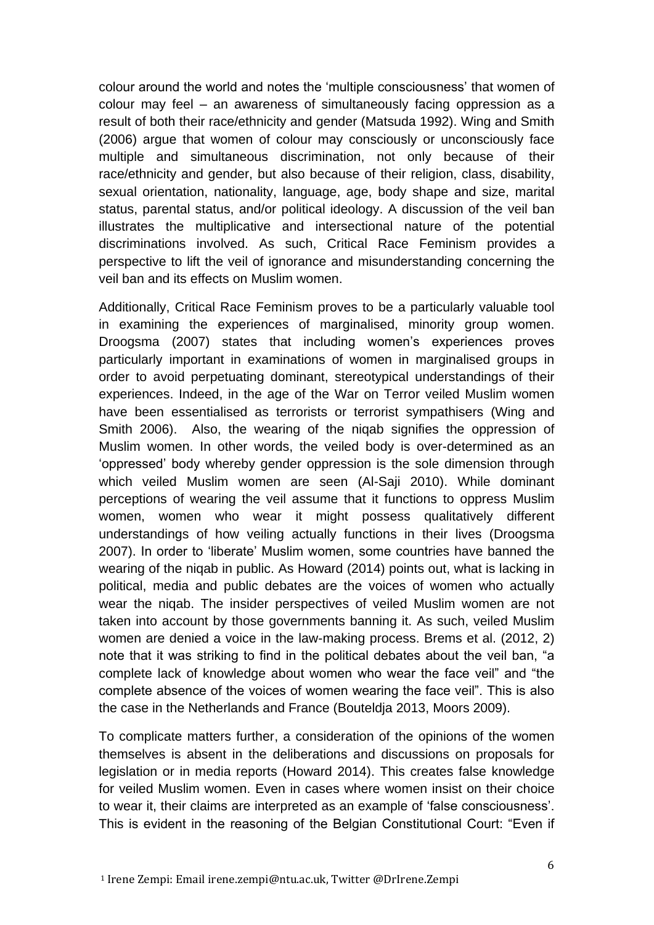colour around the world and notes the 'multiple consciousness' that women of colour may feel – an awareness of simultaneously facing oppression as a result of both their race/ethnicity and gender (Matsuda 1992). Wing and Smith (2006) argue that women of colour may consciously or unconsciously face multiple and simultaneous discrimination, not only because of their race/ethnicity and gender, but also because of their religion, class, disability, sexual orientation, nationality, language, age, body shape and size, marital status, parental status, and/or political ideology. A discussion of the veil ban illustrates the multiplicative and intersectional nature of the potential discriminations involved. As such, Critical Race Feminism provides a perspective to lift the veil of ignorance and misunderstanding concerning the veil ban and its effects on Muslim women.

Additionally, Critical Race Feminism proves to be a particularly valuable tool in examining the experiences of marginalised, minority group women. Droogsma (2007) states that including women's experiences proves particularly important in examinations of women in marginalised groups in order to avoid perpetuating dominant, stereotypical understandings of their experiences. Indeed, in the age of the War on Terror veiled Muslim women have been essentialised as terrorists or terrorist sympathisers (Wing and Smith 2006). Also, the wearing of the niqab signifies the oppression of Muslim women. In other words, the veiled body is over-determined as an 'oppressed' body whereby gender oppression is the sole dimension through which veiled Muslim women are seen (Al-Saji 2010). While dominant perceptions of wearing the veil assume that it functions to oppress Muslim women, women who wear it might possess qualitatively different understandings of how veiling actually functions in their lives (Droogsma 2007). In order to 'liberate' Muslim women, some countries have banned the wearing of the niqab in public. As Howard (2014) points out, what is lacking in political, media and public debates are the voices of women who actually wear the niqab. The insider perspectives of veiled Muslim women are not taken into account by those governments banning it. As such, veiled Muslim women are denied a voice in the law-making process. Brems et al. (2012, 2) note that it was striking to find in the political debates about the veil ban, "a complete lack of knowledge about women who wear the face veil" and "the complete absence of the voices of women wearing the face veil". This is also the case in the Netherlands and France (Bouteldja 2013, Moors 2009).

To complicate matters further, a consideration of the opinions of the women themselves is absent in the deliberations and discussions on proposals for legislation or in media reports (Howard 2014). This creates false knowledge for veiled Muslim women. Even in cases where women insist on their choice to wear it, their claims are interpreted as an example of 'false consciousness'. This is evident in the reasoning of the Belgian Constitutional Court: "Even if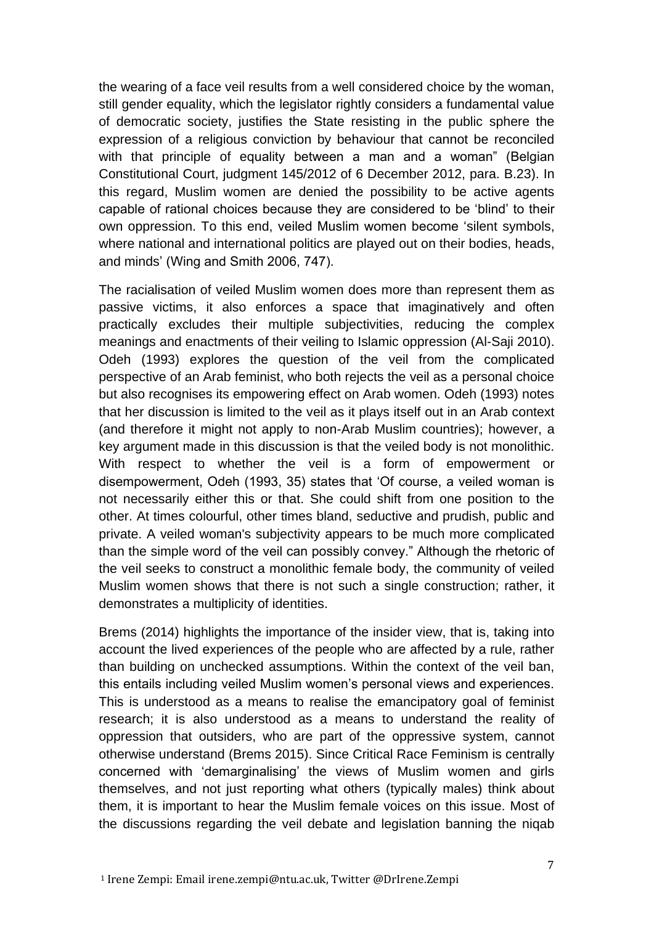the wearing of a face veil results from a well considered choice by the woman, still gender equality, which the legislator rightly considers a fundamental value of democratic society, justifies the State resisting in the public sphere the expression of a religious conviction by behaviour that cannot be reconciled with that principle of equality between a man and a woman" (Belgian Constitutional Court, judgment 145/2012 of 6 December 2012, para. B.23). In this regard, Muslim women are denied the possibility to be active agents capable of rational choices because they are considered to be 'blind' to their own oppression. To this end, veiled Muslim women become 'silent symbols, where national and international politics are played out on their bodies, heads, and minds' (Wing and Smith 2006, 747).

The racialisation of veiled Muslim women does more than represent them as passive victims, it also enforces a space that imaginatively and often practically excludes their multiple subjectivities, reducing the complex meanings and enactments of their veiling to Islamic oppression (Al-Saji 2010). Odeh (1993) explores the question of the veil from the complicated perspective of an Arab feminist, who both rejects the veil as a personal choice but also recognises its empowering effect on Arab women. Odeh (1993) notes that her discussion is limited to the veil as it plays itself out in an Arab context (and therefore it might not apply to non-Arab Muslim countries); however, a key argument made in this discussion is that the veiled body is not monolithic. With respect to whether the veil is a form of empowerment or disempowerment, Odeh (1993, 35) states that 'Of course, a veiled woman is not necessarily either this or that. She could shift from one position to the other. At times colourful, other times bland, seductive and prudish, public and private. A veiled woman's subjectivity appears to be much more complicated than the simple word of the veil can possibly convey." Although the rhetoric of the veil seeks to construct a monolithic female body, the community of veiled Muslim women shows that there is not such a single construction; rather, it demonstrates a multiplicity of identities.

Brems (2014) highlights the importance of the insider view, that is, taking into account the lived experiences of the people who are affected by a rule, rather than building on unchecked assumptions. Within the context of the veil ban, this entails including veiled Muslim women's personal views and experiences. This is understood as a means to realise the emancipatory goal of feminist research; it is also understood as a means to understand the reality of oppression that outsiders, who are part of the oppressive system, cannot otherwise understand (Brems 2015). Since Critical Race Feminism is centrally concerned with 'demarginalising' the views of Muslim women and girls themselves, and not just reporting what others (typically males) think about them, it is important to hear the Muslim female voices on this issue. Most of the discussions regarding the veil debate and legislation banning the niqab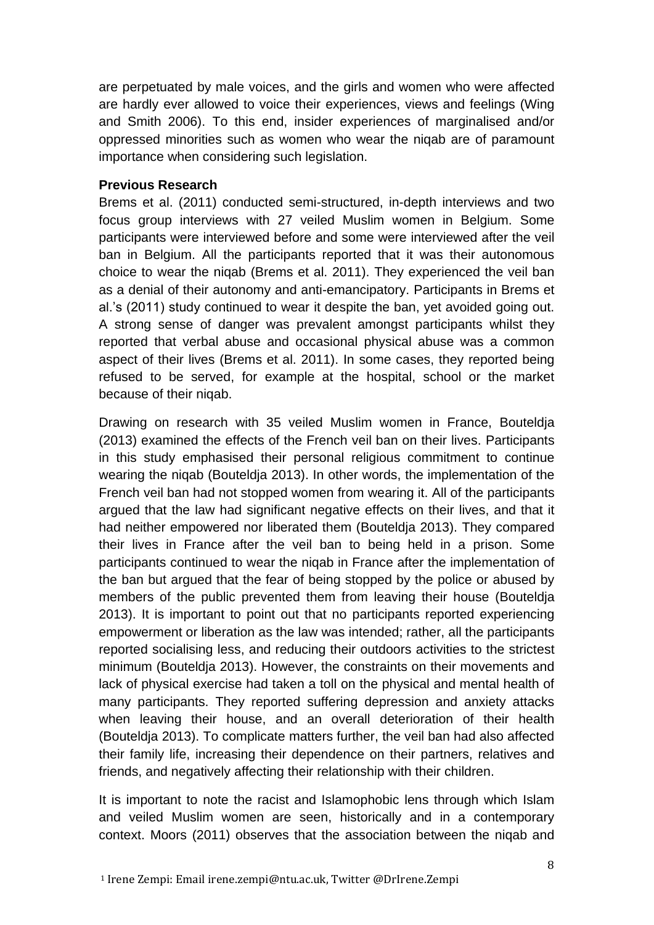are perpetuated by male voices, and the girls and women who were affected are hardly ever allowed to voice their experiences, views and feelings (Wing and Smith 2006). To this end, insider experiences of marginalised and/or oppressed minorities such as women who wear the niqab are of paramount importance when considering such legislation.

### **Previous Research**

Brems et al. (2011) conducted semi-structured, in-depth interviews and two focus group interviews with 27 veiled Muslim women in Belgium. Some participants were interviewed before and some were interviewed after the veil ban in Belgium. All the participants reported that it was their autonomous choice to wear the niqab (Brems et al. 2011). They experienced the veil ban as a denial of their autonomy and anti-emancipatory. Participants in Brems et al.'s (2011) study continued to wear it despite the ban, yet avoided going out. A strong sense of danger was prevalent amongst participants whilst they reported that verbal abuse and occasional physical abuse was a common aspect of their lives (Brems et al. 2011). In some cases, they reported being refused to be served, for example at the hospital, school or the market because of their niqab.

Drawing on research with 35 veiled Muslim women in France, Bouteldja (2013) examined the effects of the French veil ban on their lives. Participants in this study emphasised their personal religious commitment to continue wearing the niqab (Bouteldja 2013). In other words, the implementation of the French veil ban had not stopped women from wearing it. All of the participants argued that the law had significant negative effects on their lives, and that it had neither empowered nor liberated them (Bouteldja 2013). They compared their lives in France after the veil ban to being held in a prison. Some participants continued to wear the niqab in France after the implementation of the ban but argued that the fear of being stopped by the police or abused by members of the public prevented them from leaving their house (Bouteldja 2013). It is important to point out that no participants reported experiencing empowerment or liberation as the law was intended; rather, all the participants reported socialising less, and reducing their outdoors activities to the strictest minimum (Bouteldja 2013). However, the constraints on their movements and lack of physical exercise had taken a toll on the physical and mental health of many participants. They reported suffering depression and anxiety attacks when leaving their house, and an overall deterioration of their health (Bouteldja 2013). To complicate matters further, the veil ban had also affected their family life, increasing their dependence on their partners, relatives and friends, and negatively affecting their relationship with their children.

It is important to note the racist and Islamophobic lens through which Islam and veiled Muslim women are seen, historically and in a contemporary context. Moors (2011) observes that the association between the niqab and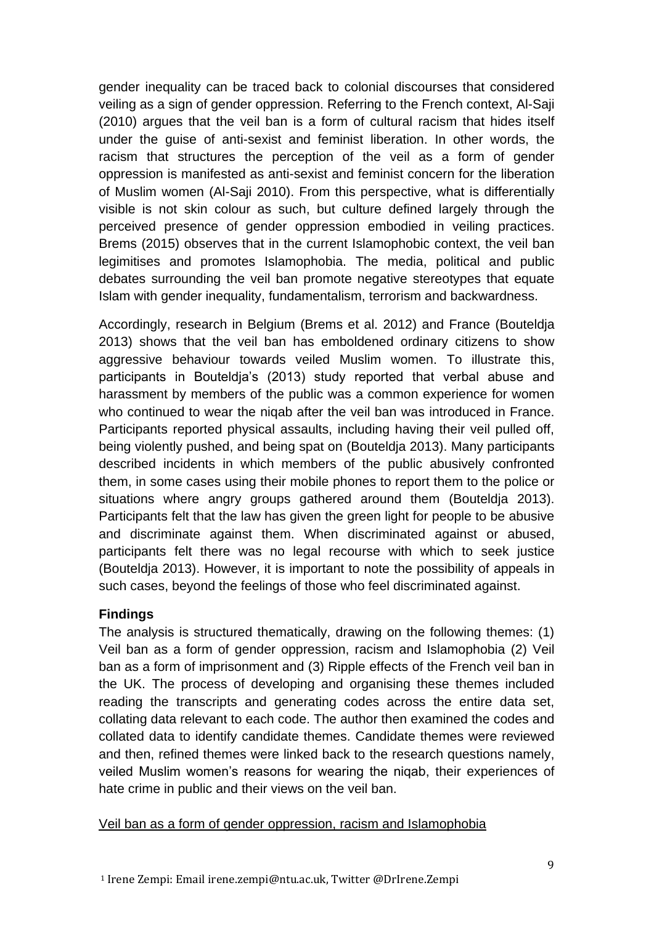gender inequality can be traced back to colonial discourses that considered veiling as a sign of gender oppression. Referring to the French context, Al-Saji (2010) argues that the veil ban is a form of cultural racism that hides itself under the guise of anti-sexist and feminist liberation. In other words, the racism that structures the perception of the veil as a form of gender oppression is manifested as anti-sexist and feminist concern for the liberation of Muslim women (Al-Saji 2010). From this perspective, what is differentially visible is not skin colour as such, but culture defined largely through the perceived presence of gender oppression embodied in veiling practices. Brems (2015) observes that in the current Islamophobic context, the veil ban legimitises and promotes Islamophobia. The media, political and public debates surrounding the veil ban promote negative stereotypes that equate Islam with gender inequality, fundamentalism, terrorism and backwardness.

Accordingly, research in Belgium (Brems et al. 2012) and France (Bouteldja 2013) shows that the veil ban has emboldened ordinary citizens to show aggressive behaviour towards veiled Muslim women. To illustrate this, participants in Bouteldja's (2013) study reported that verbal abuse and harassment by members of the public was a common experience for women who continued to wear the niqab after the veil ban was introduced in France. Participants reported physical assaults, including having their veil pulled off, being violently pushed, and being spat on (Bouteldja 2013). Many participants described incidents in which members of the public abusively confronted them, in some cases using their mobile phones to report them to the police or situations where angry groups gathered around them (Bouteldia 2013). Participants felt that the law has given the green light for people to be abusive and discriminate against them. When discriminated against or abused, participants felt there was no legal recourse with which to seek justice (Bouteldja 2013). However, it is important to note the possibility of appeals in such cases, beyond the feelings of those who feel discriminated against.

#### **Findings**

The analysis is structured thematically, drawing on the following themes: (1) Veil ban as a form of gender oppression, racism and Islamophobia (2) Veil ban as a form of imprisonment and (3) Ripple effects of the French veil ban in the UK. The process of developing and organising these themes included reading the transcripts and generating codes across the entire data set, collating data relevant to each code. The author then examined the codes and collated data to identify candidate themes. Candidate themes were reviewed and then, refined themes were linked back to the research questions namely, veiled Muslim women's reasons for wearing the niqab, their experiences of hate crime in public and their views on the veil ban.

#### Veil ban as a form of gender oppression, racism and Islamophobia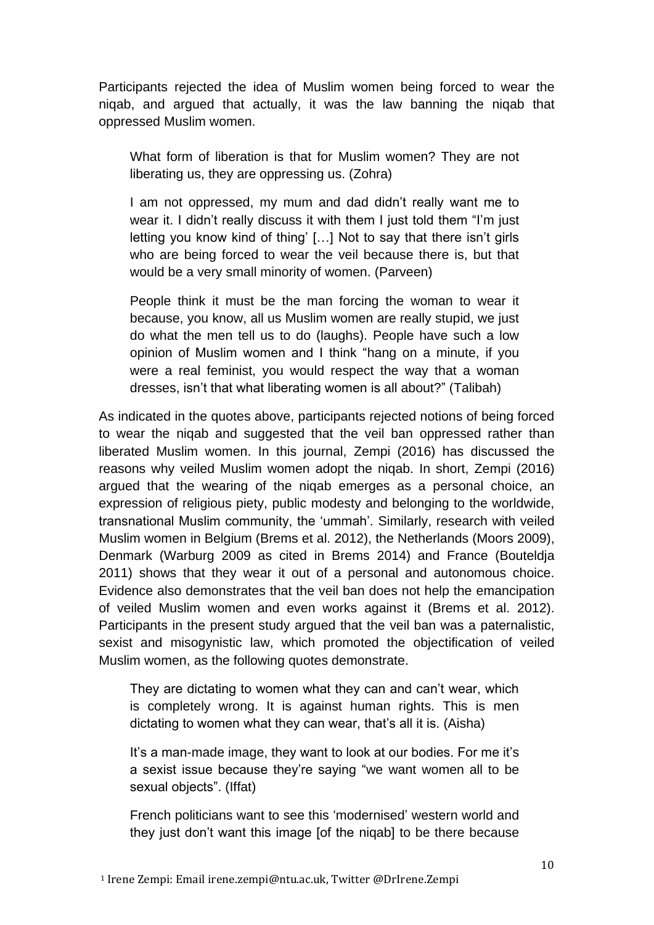Participants rejected the idea of Muslim women being forced to wear the niqab, and argued that actually, it was the law banning the niqab that oppressed Muslim women.

What form of liberation is that for Muslim women? They are not liberating us, they are oppressing us. (Zohra)

I am not oppressed, my mum and dad didn't really want me to wear it. I didn't really discuss it with them I just told them "I'm just letting you know kind of thing' […] Not to say that there isn't girls who are being forced to wear the veil because there is, but that would be a very small minority of women. (Parveen)

People think it must be the man forcing the woman to wear it because, you know, all us Muslim women are really stupid, we just do what the men tell us to do (laughs). People have such a low opinion of Muslim women and I think "hang on a minute, if you were a real feminist, you would respect the way that a woman dresses, isn't that what liberating women is all about?" (Talibah)

As indicated in the quotes above, participants rejected notions of being forced to wear the niqab and suggested that the veil ban oppressed rather than liberated Muslim women. In this journal, Zempi (2016) has discussed the reasons why veiled Muslim women adopt the niqab. In short, Zempi (2016) argued that the wearing of the niqab emerges as a personal choice, an expression of religious piety, public modesty and belonging to the worldwide, transnational Muslim community, the 'ummah'. Similarly, research with veiled Muslim women in Belgium (Brems et al. 2012), the Netherlands (Moors 2009), Denmark (Warburg 2009 as cited in Brems 2014) and France (Bouteldja 2011) shows that they wear it out of a personal and autonomous choice. Evidence also demonstrates that the veil ban does not help the emancipation of veiled Muslim women and even works against it (Brems et al. 2012). Participants in the present study argued that the veil ban was a paternalistic, sexist and misogynistic law, which promoted the objectification of veiled Muslim women, as the following quotes demonstrate.

They are dictating to women what they can and can't wear, which is completely wrong. It is against human rights. This is men dictating to women what they can wear, that's all it is. (Aisha)

It's a man-made image, they want to look at our bodies. For me it's a sexist issue because they're saying "we want women all to be sexual objects". (Iffat)

French politicians want to see this 'modernised' western world and they just don't want this image [of the niqab] to be there because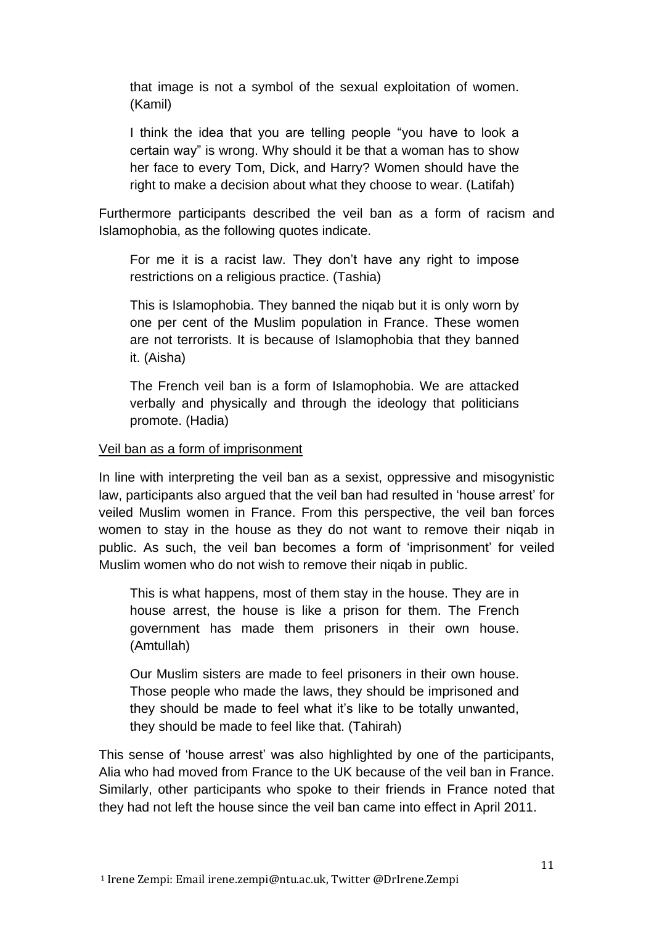that image is not a symbol of the sexual exploitation of women. (Kamil)

I think the idea that you are telling people "you have to look a certain way" is wrong. Why should it be that a woman has to show her face to every Tom, Dick, and Harry? Women should have the right to make a decision about what they choose to wear. (Latifah)

Furthermore participants described the veil ban as a form of racism and Islamophobia, as the following quotes indicate.

For me it is a racist law. They don't have any right to impose restrictions on a religious practice. (Tashia)

This is Islamophobia. They banned the niqab but it is only worn by one per cent of the Muslim population in France. These women are not terrorists. It is because of Islamophobia that they banned it. (Aisha)

The French veil ban is a form of Islamophobia. We are attacked verbally and physically and through the ideology that politicians promote. (Hadia)

#### Veil ban as a form of imprisonment

In line with interpreting the veil ban as a sexist, oppressive and misogynistic law, participants also argued that the veil ban had resulted in 'house arrest' for veiled Muslim women in France. From this perspective, the veil ban forces women to stay in the house as they do not want to remove their niqab in public. As such, the veil ban becomes a form of 'imprisonment' for veiled Muslim women who do not wish to remove their niqab in public.

This is what happens, most of them stay in the house. They are in house arrest, the house is like a prison for them. The French government has made them prisoners in their own house. (Amtullah)

Our Muslim sisters are made to feel prisoners in their own house. Those people who made the laws, they should be imprisoned and they should be made to feel what it's like to be totally unwanted, they should be made to feel like that. (Tahirah)

This sense of 'house arrest' was also highlighted by one of the participants, Alia who had moved from France to the UK because of the veil ban in France. Similarly, other participants who spoke to their friends in France noted that they had not left the house since the veil ban came into effect in April 2011.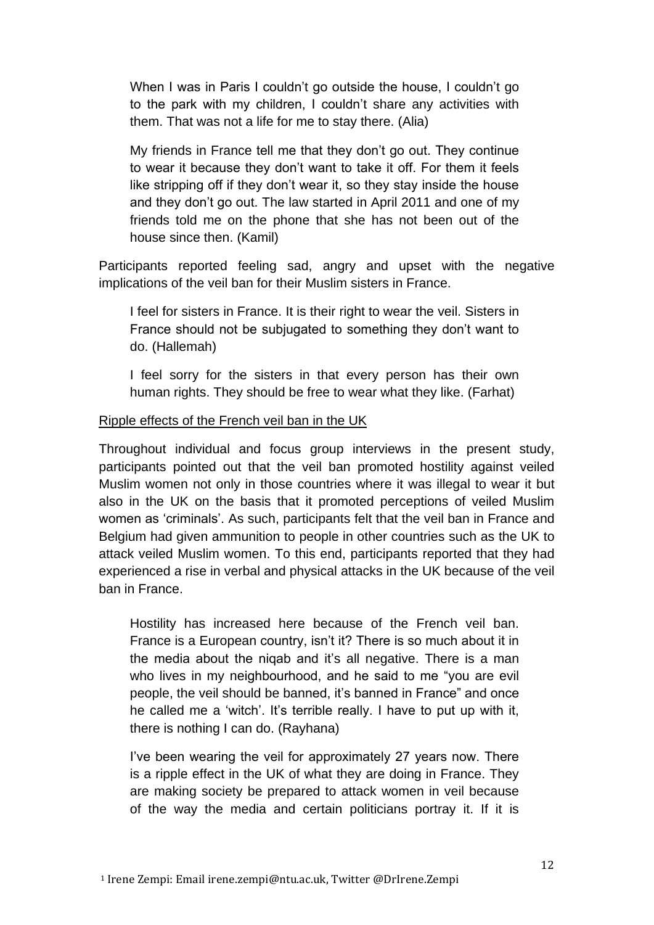When I was in Paris I couldn't go outside the house, I couldn't go to the park with my children, I couldn't share any activities with them. That was not a life for me to stay there. (Alia)

My friends in France tell me that they don't go out. They continue to wear it because they don't want to take it off. For them it feels like stripping off if they don't wear it, so they stay inside the house and they don't go out. The law started in April 2011 and one of my friends told me on the phone that she has not been out of the house since then. (Kamil)

Participants reported feeling sad, angry and upset with the negative implications of the veil ban for their Muslim sisters in France.

I feel for sisters in France. It is their right to wear the veil. Sisters in France should not be subjugated to something they don't want to do. (Hallemah)

I feel sorry for the sisters in that every person has their own human rights. They should be free to wear what they like. (Farhat)

### Ripple effects of the French veil ban in the UK

Throughout individual and focus group interviews in the present study, participants pointed out that the veil ban promoted hostility against veiled Muslim women not only in those countries where it was illegal to wear it but also in the UK on the basis that it promoted perceptions of veiled Muslim women as 'criminals'. As such, participants felt that the veil ban in France and Belgium had given ammunition to people in other countries such as the UK to attack veiled Muslim women. To this end, participants reported that they had experienced a rise in verbal and physical attacks in the UK because of the veil ban in France.

Hostility has increased here because of the French veil ban. France is a European country, isn't it? There is so much about it in the media about the niqab and it's all negative. There is a man who lives in my neighbourhood, and he said to me "you are evil people, the veil should be banned, it's banned in France" and once he called me a 'witch'. It's terrible really. I have to put up with it, there is nothing I can do. (Rayhana)

I've been wearing the veil for approximately 27 years now. There is a ripple effect in the UK of what they are doing in France. They are making society be prepared to attack women in veil because of the way the media and certain politicians portray it. If it is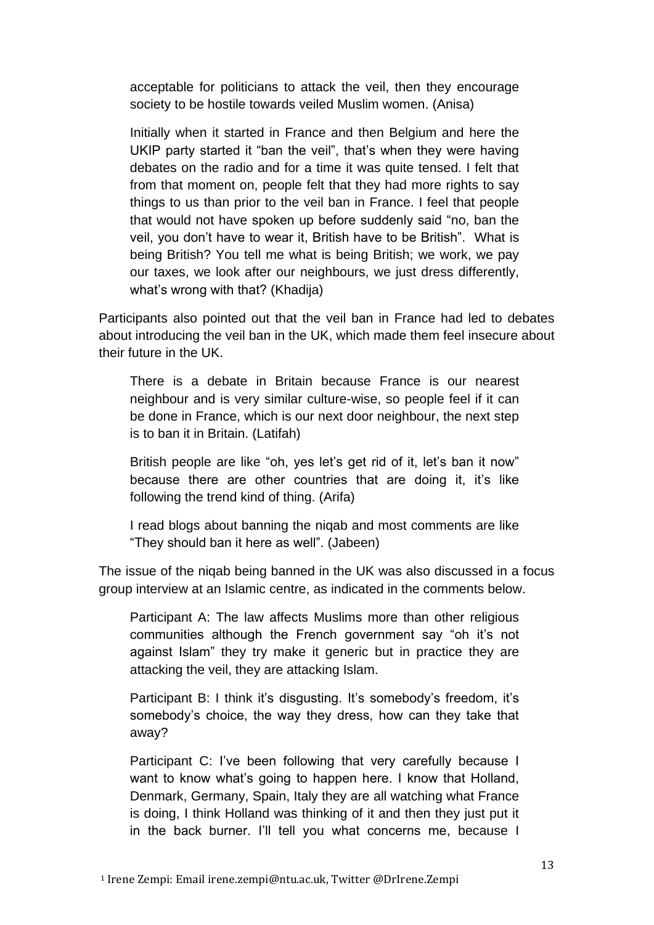acceptable for politicians to attack the veil, then they encourage society to be hostile towards veiled Muslim women. (Anisa)

Initially when it started in France and then Belgium and here the UKIP party started it "ban the veil", that's when they were having debates on the radio and for a time it was quite tensed. I felt that from that moment on, people felt that they had more rights to say things to us than prior to the veil ban in France. I feel that people that would not have spoken up before suddenly said "no, ban the veil, you don't have to wear it, British have to be British". What is being British? You tell me what is being British; we work, we pay our taxes, we look after our neighbours, we just dress differently, what's wrong with that? (Khadija)

Participants also pointed out that the veil ban in France had led to debates about introducing the veil ban in the UK, which made them feel insecure about their future in the UK.

There is a debate in Britain because France is our nearest neighbour and is very similar culture-wise, so people feel if it can be done in France, which is our next door neighbour, the next step is to ban it in Britain. (Latifah)

British people are like "oh, yes let's get rid of it, let's ban it now" because there are other countries that are doing it, it's like following the trend kind of thing. (Arifa)

I read blogs about banning the niqab and most comments are like "They should ban it here as well". (Jabeen)

The issue of the niqab being banned in the UK was also discussed in a focus group interview at an Islamic centre, as indicated in the comments below.

Participant A: The law affects Muslims more than other religious communities although the French government say "oh it's not against Islam" they try make it generic but in practice they are attacking the veil, they are attacking Islam.

Participant B: I think it's disgusting. It's somebody's freedom, it's somebody's choice, the way they dress, how can they take that away?

Participant C: I've been following that very carefully because I want to know what's going to happen here. I know that Holland, Denmark, Germany, Spain, Italy they are all watching what France is doing, I think Holland was thinking of it and then they just put it in the back burner. I'll tell you what concerns me, because I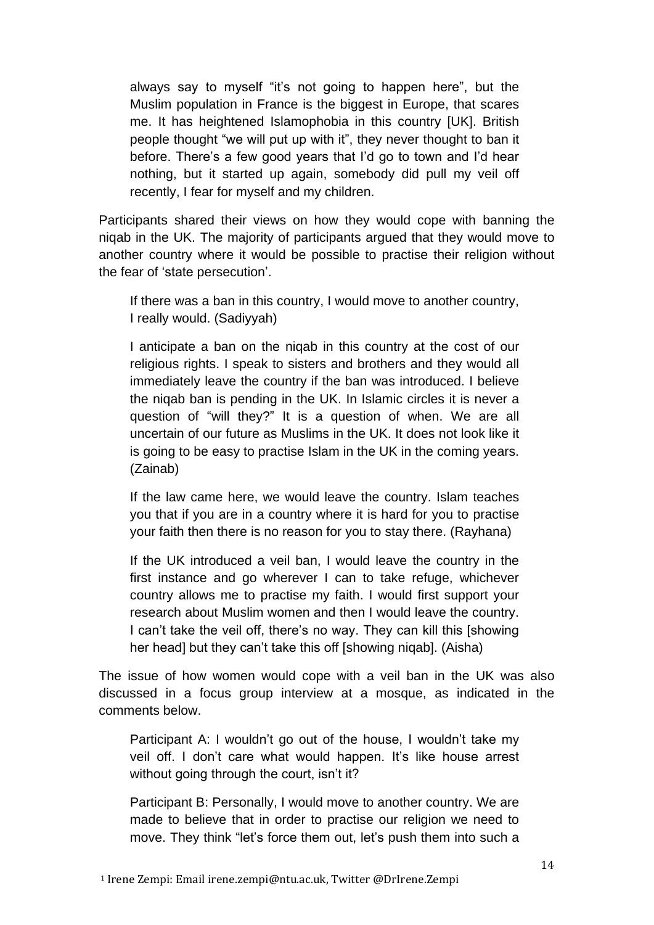always say to myself "it's not going to happen here", but the Muslim population in France is the biggest in Europe, that scares me. It has heightened Islamophobia in this country [UK]. British people thought "we will put up with it", they never thought to ban it before. There's a few good years that I'd go to town and I'd hear nothing, but it started up again, somebody did pull my veil off recently, I fear for myself and my children.

Participants shared their views on how they would cope with banning the niqab in the UK. The majority of participants argued that they would move to another country where it would be possible to practise their religion without the fear of 'state persecution'.

If there was a ban in this country, I would move to another country, I really would. (Sadiyyah)

I anticipate a ban on the niqab in this country at the cost of our religious rights. I speak to sisters and brothers and they would all immediately leave the country if the ban was introduced. I believe the niqab ban is pending in the UK. In Islamic circles it is never a question of "will they?" It is a question of when. We are all uncertain of our future as Muslims in the UK. It does not look like it is going to be easy to practise Islam in the UK in the coming years. (Zainab)

If the law came here, we would leave the country. Islam teaches you that if you are in a country where it is hard for you to practise your faith then there is no reason for you to stay there. (Rayhana)

If the UK introduced a veil ban, I would leave the country in the first instance and go wherever I can to take refuge, whichever country allows me to practise my faith. I would first support your research about Muslim women and then I would leave the country. I can't take the veil off, there's no way. They can kill this [showing her head] but they can't take this off [showing niqab]. (Aisha)

The issue of how women would cope with a veil ban in the UK was also discussed in a focus group interview at a mosque, as indicated in the comments below.

Participant A: I wouldn't go out of the house, I wouldn't take my veil off. I don't care what would happen. It's like house arrest without going through the court, isn't it?

Participant B: Personally, I would move to another country. We are made to believe that in order to practise our religion we need to move. They think "let's force them out, let's push them into such a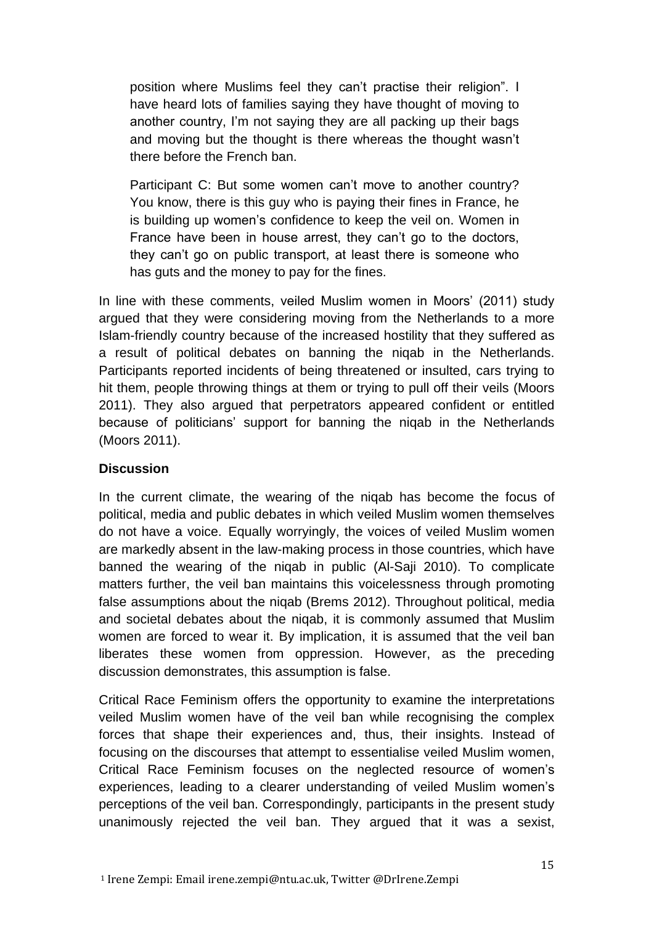position where Muslims feel they can't practise their religion". I have heard lots of families saying they have thought of moving to another country, I'm not saying they are all packing up their bags and moving but the thought is there whereas the thought wasn't there before the French ban.

Participant C: But some women can't move to another country? You know, there is this guy who is paying their fines in France, he is building up women's confidence to keep the veil on. Women in France have been in house arrest, they can't go to the doctors, they can't go on public transport, at least there is someone who has guts and the money to pay for the fines.

In line with these comments, veiled Muslim women in Moors' (2011) study argued that they were considering moving from the Netherlands to a more Islam-friendly country because of the increased hostility that they suffered as a result of political debates on banning the niqab in the Netherlands. Participants reported incidents of being threatened or insulted, cars trying to hit them, people throwing things at them or trying to pull off their veils (Moors 2011). They also argued that perpetrators appeared confident or entitled because of politicians' support for banning the niqab in the Netherlands (Moors 2011).

### **Discussion**

In the current climate, the wearing of the niqab has become the focus of political, media and public debates in which veiled Muslim women themselves do not have a voice. Equally worryingly, the voices of veiled Muslim women are markedly absent in the law-making process in those countries, which have banned the wearing of the niqab in public (Al-Saji 2010). To complicate matters further, the veil ban maintains this voicelessness through promoting false assumptions about the niqab (Brems 2012). Throughout political, media and societal debates about the niqab, it is commonly assumed that Muslim women are forced to wear it. By implication, it is assumed that the veil ban liberates these women from oppression. However, as the preceding discussion demonstrates, this assumption is false.

Critical Race Feminism offers the opportunity to examine the interpretations veiled Muslim women have of the veil ban while recognising the complex forces that shape their experiences and, thus, their insights. Instead of focusing on the discourses that attempt to essentialise veiled Muslim women, Critical Race Feminism focuses on the neglected resource of women's experiences, leading to a clearer understanding of veiled Muslim women's perceptions of the veil ban. Correspondingly, participants in the present study unanimously rejected the veil ban. They argued that it was a sexist,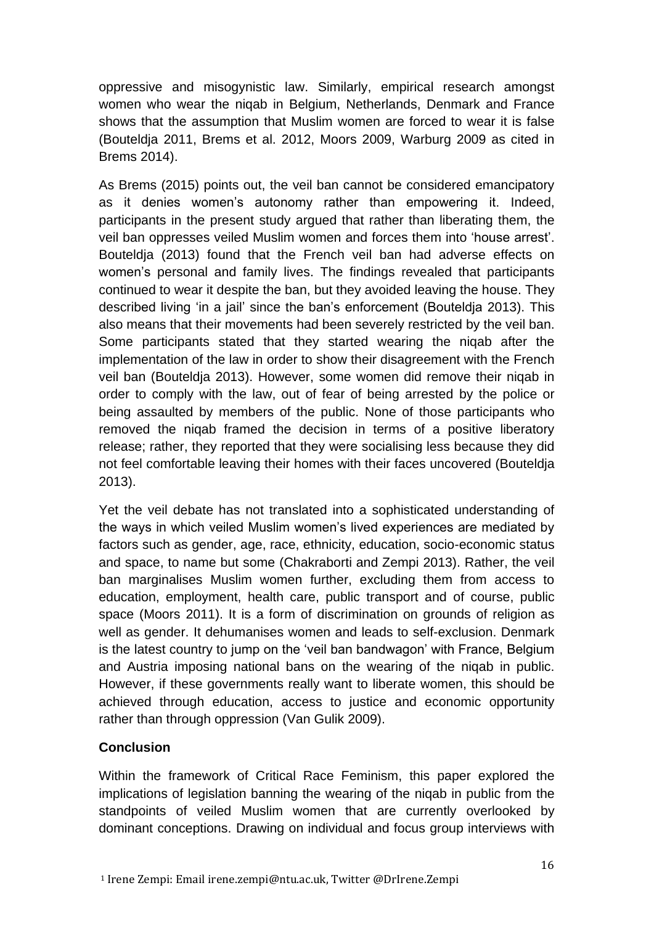oppressive and misogynistic law. Similarly, empirical research amongst women who wear the niqab in Belgium, Netherlands, Denmark and France shows that the assumption that Muslim women are forced to wear it is false (Bouteldja 2011, Brems et al. 2012, Moors 2009, Warburg 2009 as cited in Brems 2014).

As Brems (2015) points out, the veil ban cannot be considered emancipatory as it denies women's autonomy rather than empowering it. Indeed, participants in the present study argued that rather than liberating them, the veil ban oppresses veiled Muslim women and forces them into 'house arrest'. Bouteldja (2013) found that the French veil ban had adverse effects on women's personal and family lives. The findings revealed that participants continued to wear it despite the ban, but they avoided leaving the house. They described living 'in a jail' since the ban's enforcement (Bouteldja 2013). This also means that their movements had been severely restricted by the veil ban. Some participants stated that they started wearing the niqab after the implementation of the law in order to show their disagreement with the French veil ban (Bouteldja 2013). However, some women did remove their niqab in order to comply with the law, out of fear of being arrested by the police or being assaulted by members of the public. None of those participants who removed the niqab framed the decision in terms of a positive liberatory release; rather, they reported that they were socialising less because they did not feel comfortable leaving their homes with their faces uncovered (Bouteldja 2013).

Yet the veil debate has not translated into a sophisticated understanding of the ways in which veiled Muslim women's lived experiences are mediated by factors such as gender, age, race, ethnicity, education, socio-economic status and space, to name but some (Chakraborti and Zempi 2013). Rather, the veil ban marginalises Muslim women further, excluding them from access to education, employment, health care, public transport and of course, public space (Moors 2011). It is a form of discrimination on grounds of religion as well as gender. It dehumanises women and leads to self-exclusion. Denmark is the latest country to jump on the 'veil ban bandwagon' with France, Belgium and Austria imposing national bans on the wearing of the niqab in public. However, if these governments really want to liberate women, this should be achieved through education, access to justice and economic opportunity rather than through oppression (Van Gulik 2009).

# **Conclusion**

Within the framework of Critical Race Feminism, this paper explored the implications of legislation banning the wearing of the niqab in public from the standpoints of veiled Muslim women that are currently overlooked by dominant conceptions. Drawing on individual and focus group interviews with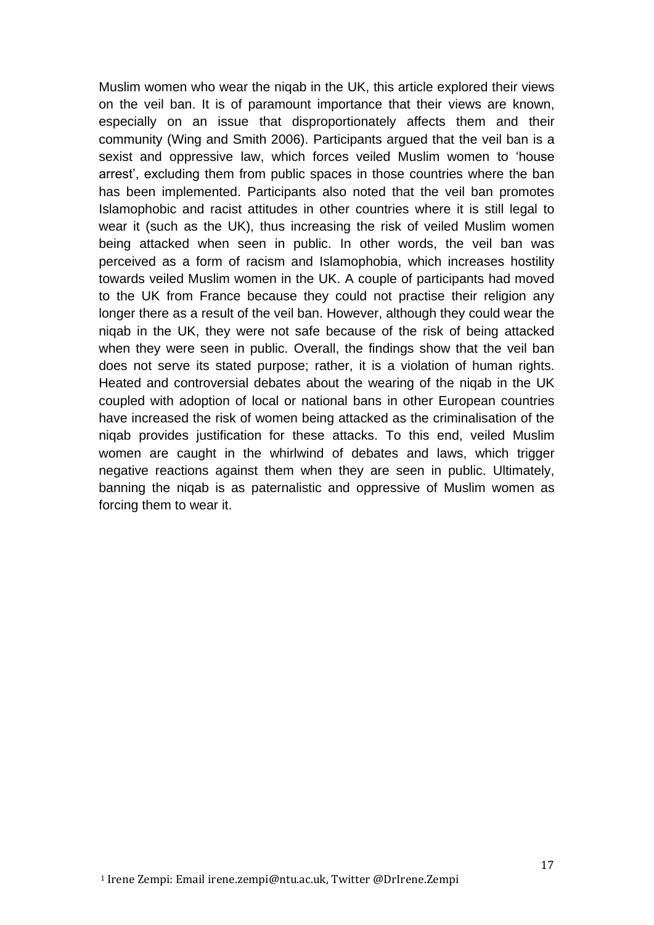Muslim women who wear the niqab in the UK, this article explored their views on the veil ban. It is of paramount importance that their views are known, especially on an issue that disproportionately affects them and their community (Wing and Smith 2006). Participants argued that the veil ban is a sexist and oppressive law, which forces veiled Muslim women to 'house arrest', excluding them from public spaces in those countries where the ban has been implemented. Participants also noted that the veil ban promotes Islamophobic and racist attitudes in other countries where it is still legal to wear it (such as the UK), thus increasing the risk of veiled Muslim women being attacked when seen in public. In other words, the veil ban was perceived as a form of racism and Islamophobia, which increases hostility towards veiled Muslim women in the UK. A couple of participants had moved to the UK from France because they could not practise their religion any longer there as a result of the veil ban. However, although they could wear the niqab in the UK, they were not safe because of the risk of being attacked when they were seen in public. Overall, the findings show that the veil ban does not serve its stated purpose; rather, it is a violation of human rights. Heated and controversial debates about the wearing of the niqab in the UK coupled with adoption of local or national bans in other European countries have increased the risk of women being attacked as the criminalisation of the niqab provides justification for these attacks. To this end, veiled Muslim women are caught in the whirlwind of debates and laws, which trigger negative reactions against them when they are seen in public. Ultimately, banning the niqab is as paternalistic and oppressive of Muslim women as forcing them to wear it.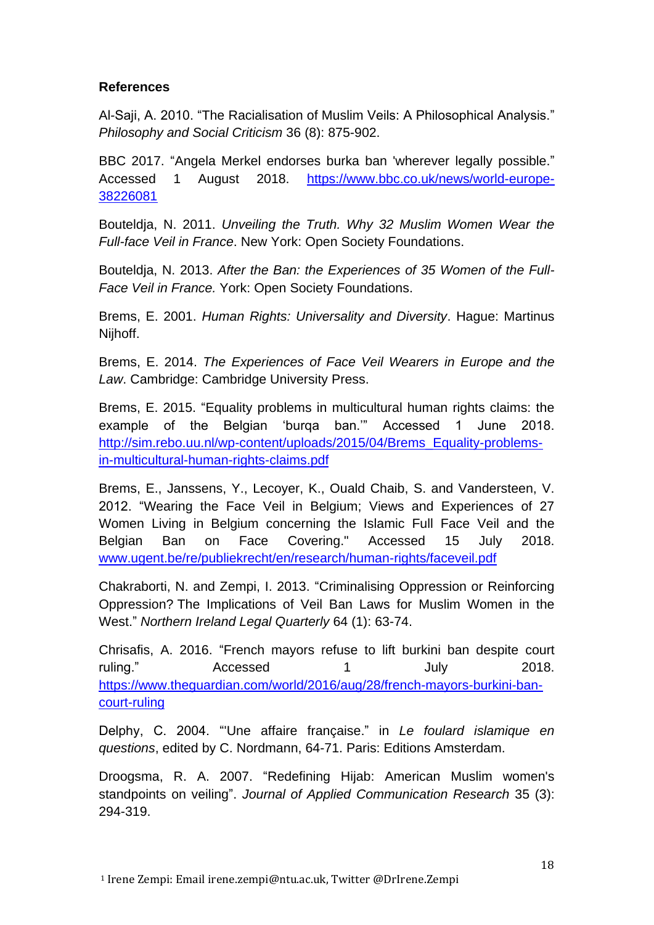### **References**

Al-Saji, A. 2010. "The Racialisation of Muslim Veils: A Philosophical Analysis." *Philosophy and Social Criticism* 36 (8): 875-902.

BBC 2017. "Angela Merkel endorses burka ban 'wherever legally possible." Accessed 1 August 2018. [https://www.bbc.co.uk/news/world-europe-](https://www.bbc.co.uk/news/world-europe-38226081)[38226081](https://www.bbc.co.uk/news/world-europe-38226081)

Bouteldja, N. 2011. *Unveiling the Truth. Why 32 Muslim Women Wear the Full-face Veil in France*. New York: Open Society Foundations.

Bouteldja, N. 2013. *After the Ban: the Experiences of 35 Women of the Full-Face Veil in France.* York: Open Society Foundations.

Brems, E. 2001. *Human Rights: Universality and Diversity*. Hague: Martinus Nijhoff.

Brems, E. 2014. *The Experiences of Face Veil Wearers in Europe and the Law*. Cambridge: Cambridge University Press.

Brems, E. 2015. "Equality problems in multicultural human rights claims: the example of the Belgian 'burqa ban.'" Accessed 1 June 2018. [http://sim.rebo.uu.nl/wp-content/uploads/2015/04/Brems\\_Equality-problems](http://sim.rebo.uu.nl/wp-content/uploads/2015/04/Brems_Equality-problems-in-multicultural-human-rights-claims.pdf)[in-multicultural-human-rights-claims.pdf](http://sim.rebo.uu.nl/wp-content/uploads/2015/04/Brems_Equality-problems-in-multicultural-human-rights-claims.pdf)

Brems, E., Janssens, Y., Lecoyer, K., Ouald Chaib, S. and Vandersteen, V. 2012. "Wearing the Face Veil in Belgium; Views and Experiences of 27 Women Living in Belgium concerning the Islamic Full Face Veil and the Belgian Ban on Face Covering." Accessed 15 July 2018. [www.ugent.be/re/publiekrecht/en/research/human-rights/faceveil.pdf](http://www.ugent.be/re/publiekrecht/en/research/human-rights/faceveil.pdf)

Chakraborti, N. and Zempi, I. 2013. "Criminalising Oppression or Reinforcing Oppression? The Implications of Veil Ban Laws for Muslim Women in the West." *Northern Ireland Legal Quarterly* 64 (1): 63-74.

Chrisafis, A. 2016. "French mayors refuse to lift burkini ban despite court ruling." Accessed 1 July 2018. [https://www.theguardian.com/world/2016/aug/28/french-mayors-burkini-ban](https://www.theguardian.com/world/2016/aug/28/french-mayors-burkini-ban-court-ruling)[court-ruling](https://www.theguardian.com/world/2016/aug/28/french-mayors-burkini-ban-court-ruling)

Delphy, C. 2004. "'Une affaire française." in *Le foulard islamique en questions*, edited by C. Nordmann, 64-71. Paris: Editions Amsterdam.

Droogsma, R. A. 2007. "Redefining Hijab: American Muslim women's standpoints on veiling". *Journal of Applied Communication Research* 35 (3): 294-319.